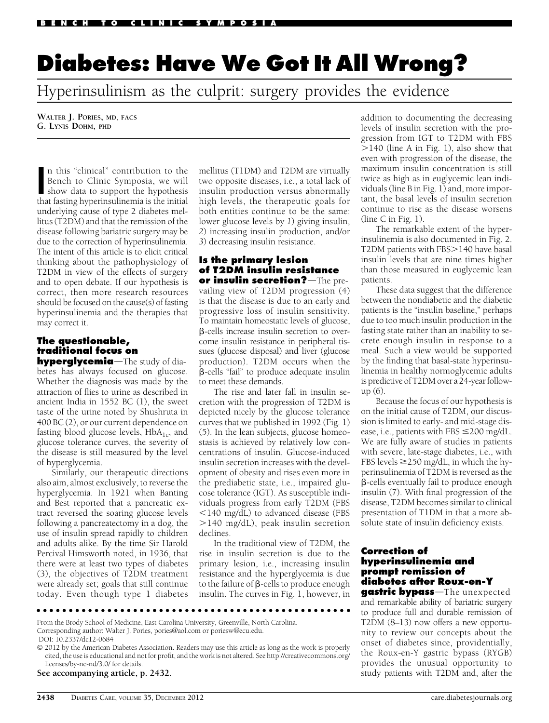# Diabetes: Have We Got It All Wrong?

Hyperinsulinism as the culprit: surgery provides the evidence

WALTER J. PORIES, MD, FACS G. LYNIS DOHM, PHD

In this "clinical" contribution to the<br>Bench to Clinic Symposia, we will<br>show data to support the hypothesis<br>that festive hypothesing is the initial n this "clinical" contribution to the Bench to Clinic Symposia, we will that fasting hyperinsulinemia is the initial underlying cause of type 2 diabetes mellitus (T2DM) and that the remission of the disease following bariatric surgery may be due to the correction of hyperinsulinemia. The intent of this article is to elicit critical thinking about the pathophysiology of T2DM in view of the effects of surgery and to open debate. If our hypothesis is correct, then more research resources should be focused on the cause(s) of fasting hyperinsulinemia and the therapies that may correct it.

## The questionable, traditional focus on

hyperglycemia-The study of diabetes has always focused on glucose. Whether the diagnosis was made by the attraction of flies to urine as described in ancient India in 1552 BC (1), the sweet taste of the urine noted by Shushruta in 400 BC (2), or our current dependence on fasting blood glucose levels,  $HbA_{1c}$ , and glucose tolerance curves, the severity of the disease is still measured by the level of hyperglycemia.

Similarly, our therapeutic directions also aim, almost exclusively, to reverse the hyperglycemia. In 1921 when Banting and Best reported that a pancreatic extract reversed the soaring glucose levels following a pancreatectomy in a dog, the use of insulin spread rapidly to children and adults alike. By the time Sir Harold Percival Himsworth noted, in 1936, that there were at least two types of diabetes (3), the objectives of T2DM treatment were already set; goals that still continue today. Even though type 1 diabetes mellitus (T1DM) and T2DM are virtually two opposite diseases, i.e., a total lack of insulin production versus abnormally high levels, the therapeutic goals for both entities continue to be the same: lower glucose levels by 1) giving insulin, 2) increasing insulin production, and/or 3) decreasing insulin resistance.

#### Is the primary lesion of T2DM insulin resistance or insulin secretion? $-\text{The pre-}$

vailing view of T2DM progression (4) is that the disease is due to an early and progressive loss of insulin sensitivity. To maintain homeostatic levels of glucose, b-cells increase insulin secretion to overcome insulin resistance in peripheral tissues (glucose disposal) and liver (glucose production). T2DM occurs when the b-cells "fail" to produce adequate insulin to meet these demands.

The rise and later fall in insulin secretion with the progression of T2DM is depicted nicely by the glucose tolerance curves that we published in 1992 (Fig. 1) (5). In the lean subjects, glucose homeostasis is achieved by relatively low concentrations of insulin. Glucose-induced insulin secretion increases with the development of obesity and rises even more in the prediabetic state, i.e., impaired glucose tolerance (IGT). As susceptible individuals progress from early T2DM (FBS  $<$ 140 mg/dL) to advanced disease (FBS .140 mg/dL), peak insulin secretion declines.

In the traditional view of T2DM, the rise in insulin secretion is due to the primary lesion, i.e., increasing insulin resistance and the hyperglycemia is due to the failure of  $\beta$ -cells to produce enough insulin. The curves in Fig. 1, however, in addition to documenting the decreasing levels of insulin secretion with the progression from IGT to T2DM with FBS  $>140$  (line A in Fig. 1), also show that even with progression of the disease, the maximum insulin concentration is still twice as high as in euglycemic lean individuals (line B in Fig. 1) and, more important, the basal levels of insulin secretion continue to rise as the disease worsens (line  $C$  in Fig. 1).

The remarkable extent of the hyperinsulinemia is also documented in Fig. 2. T2DM patients with FBS>140 have basal insulin levels that are nine times higher than those measured in euglycemic lean patients.

These data suggest that the difference between the nondiabetic and the diabetic patients is the "insulin baseline," perhaps due to too much insulin production in the fasting state rather than an inability to secrete enough insulin in response to a meal. Such a view would be supported by the finding that basal-state hyperinsulinemia in healthy normoglycemic adults is predictive of T2DM over a 24-year followup (6).

Because the focus of our hypothesis is on the initial cause of T2DM, our discussion is limited to early- and mid-stage disease, i.e., patients with FBS  $\leq$ 200 mg/dL. We are fully aware of studies in patients with severe, late-stage diabetes, i.e., with FBS levels  $\geq$ 250 mg/dL, in which the hyperinsulinemia of T2DM is reversed as the  $\beta$ -cells eventually fail to produce enough insulin (7). With final progression of the disease, T2DM becomes similar to clinical presentation of T1DM in that a more absolute state of insulin deficiency exists.

## Correction of hyperinsulinemia and prompt remission of diabetes after Roux-en-Y

gastric bypass-The unexpected and remarkable ability of bariatric surgery to produce full and durable remission of T2DM (8–13) now offers a new opportunity to review our concepts about the onset of diabetes since, providentially, the Roux-en-Y gastric bypass (RYGB) provides the unusual opportunity to study patients with T2DM and, after the

From the Brody School of Medicine, East Carolina University, Greenville, North Carolina. Corresponding author: Walter J. Pories, [pories@aol.com](mailto:pories@aol.com) or poriesw@ecu.edu. DOI: 10.2337/dc12-0684

© 2012 by the American Diabetes Association. Readers may use this article as long as the work is properly cited, the use is educational and not for profit, and the work is not altered. See [http://creativecommons.org/](http://creativecommons.org/licenses/by-nc-nd/3.0/) [licenses/by-nc-nd/3.0/](http://creativecommons.org/licenses/by-nc-nd/3.0/) for details.

ccccccccccccccccccccccccccccccccccccccccccccccccc

See accompanying article, p. 2432.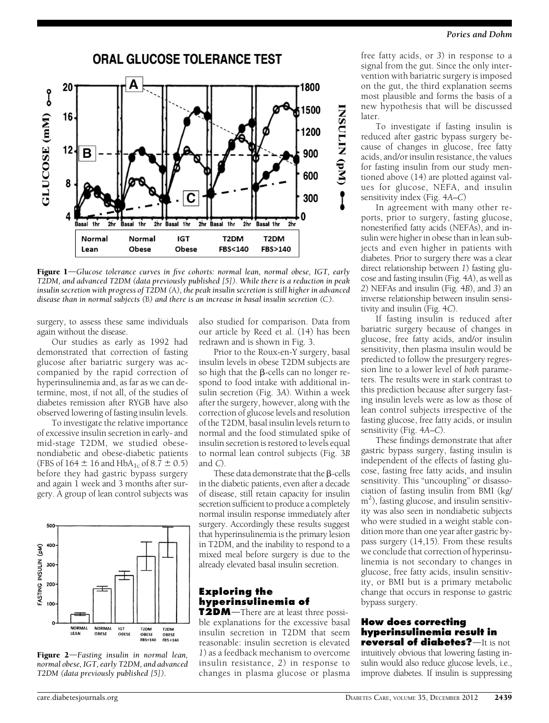#### Pories and Dohm



**Figure 1**—Glucose tolerance curves in five cohorts: normal lean, normal obese, IGT, early T2DM, and advanced T2DM (data previously published [5]). While there is a reduction in peak insulin secretion with progress of T2DM (A), the peak insulin secretion is still higher in advanced disease than in normal subjects (B) and there is an increase in basal insulin secretion (C).

surgery, to assess these same individuals again without the disease.

Our studies as early as 1992 had demonstrated that correction of fasting glucose after bariatric surgery was accompanied by the rapid correction of hyperinsulinemia and, as far as we can determine, most, if not all, of the studies of diabetes remission after RYGB have also observed lowering of fasting insulin levels.

To investigate the relative importance of excessive insulin secretion in early- and mid-stage T2DM, we studied obesenondiabetic and obese-diabetic patients (FBS of  $164 \pm 16$  and  $HbA_{1c}$  of  $8.7 \pm 0.5$ ) before they had gastric bypass surgery and again 1 week and 3 months after surgery. A group of lean control subjects was



Figure  $2$ -Fasting insulin in normal lean, normal obese, IGT, early T2DM, and advanced T2DM (data previously published [5]).

also studied for comparison. Data from our article by Reed et al. (14) has been redrawn and is shown in Fig. 3.

Prior to the Roux-en-Y surgery, basal insulin levels in obese T2DM subjects are so high that the  $\beta$ -cells can no longer respond to food intake with additional insulin secretion (Fig. 3A). Within a week after the surgery, however, along with the correction of glucose levels and resolution of the T2DM, basal insulin levels return to normal and the food stimulated spike of insulin secretion is restored to levels equal to normal lean control subjects (Fig. 3B and C).

These data demonstrate that the  $\beta$ -cells in the diabetic patients, even after a decade of disease, still retain capacity for insulin secretion sufficient to produce a completely normal insulin response immediately after surgery. Accordingly these results suggest that hyperinsulinemia is the primary lesion in T2DM, and the inability to respond to a mixed meal before surgery is due to the already elevated basal insulin secretion.

## Exploring the hyperinsulinemia of

**T2DM** $-$ There are at least three possible explanations for the excessive basal insulin secretion in T2DM that seem reasonable: insulin secretion is elevated 1) as a feedback mechanism to overcome insulin resistance, 2) in response to changes in plasma glucose or plasma

free fatty acids, or 3) in response to a signal from the gut. Since the only intervention with bariatric surgery is imposed on the gut, the third explanation seems most plausible and forms the basis of a new hypothesis that will be discussed later.

To investigate if fasting insulin is reduced after gastric bypass surgery because of changes in glucose, free fatty acids, and/or insulin resistance, the values for fasting insulin from our study mentioned above (14) are plotted against values for glucose, NEFA, and insulin sensitivity index (Fig. 4A–C)

In agreement with many other reports, prior to surgery, fasting glucose, nonesterified fatty acids (NEFAs), and insulin were higher in obese than in lean subjects and even higher in patients with diabetes. Prior to surgery there was a clear direct relationship between 1) fasting glucose and fasting insulin (Fig. 4A), as well as 2) NEFAs and insulin (Fig. 4B), and 3) an inverse relationship between insulin sensitivity and insulin (Fig. 4C).

If fasting insulin is reduced after bariatric surgery because of changes in glucose, free fatty acids, and/or insulin sensitivity, then plasma insulin would be predicted to follow the presurgery regression line to a lower level of both parameters. The results were in stark contrast to this prediction because after surgery fasting insulin levels were as low as those of lean control subjects irrespective of the fasting glucose, free fatty acids, or insulin sensitivity (Fig. 4A–C).

These findings demonstrate that after gastric bypass surgery, fasting insulin is independent of the effects of fasting glucose, fasting free fatty acids, and insulin sensitivity. This "uncoupling" or disassociation of fasting insulin from BMI (kg/ m<sup>2</sup>), fasting glucose, and insulin sensitivity was also seen in nondiabetic subjects who were studied in a weight stable condition more than one year after gastric bypass surgery (14,15). From these results we conclude that correction of hyperinsulinemia is not secondary to changes in glucose, free fatty acids, insulin sensitivity, or BMI but is a primary metabolic change that occurs in response to gastric bypass surgery.

#### How does correcting hyperinsulinemia result in reversal of diabetes? - It is not

intuitively obvious that lowering fasting insulin would also reduce glucose levels, i.e., improve diabetes. If insulin is suppressing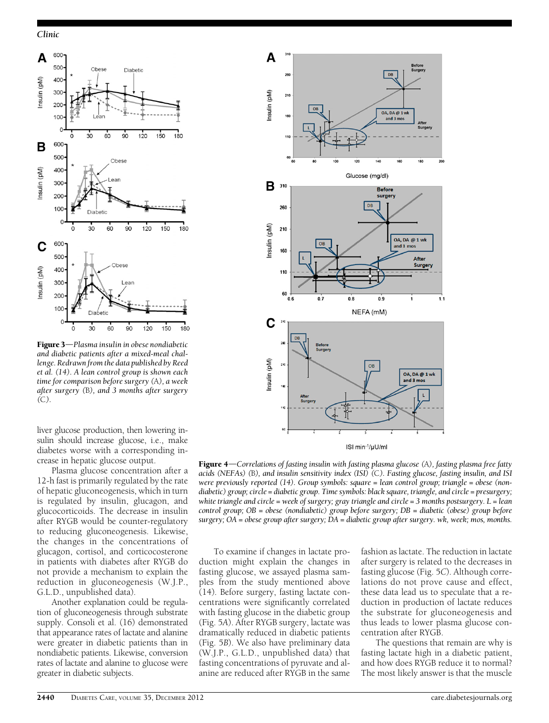#### Clinic



Figure 3-Plasma insulin in obese nondiabetic and diabetic patients after a mixed-meal challenge. Redrawn from the data published by Reed et al. (14). A lean control group is shown each time for comparison before surgery (A), a week after surgery (B), and 3 months after surgery (C).

liver glucose production, then lowering insulin should increase glucose, i.e., make diabetes worse with a corresponding increase in hepatic glucose output.

Plasma glucose concentration after a 12-h fast is primarily regulated by the rate of hepatic gluconeogenesis, which in turn is regulated by insulin, glucagon, and glucocorticoids. The decrease in insulin after RYGB would be counter-regulatory to reducing gluconeogenesis. Likewise, the changes in the concentrations of glucagon, cortisol, and corticocosterone in patients with diabetes after RYGB do not provide a mechanism to explain the reduction in gluconeogenesis (W.J.P., G.L.D., unpublished data).

Another explanation could be regulation of gluconeogenesis through substrate supply. Consoli et al. (16) demonstrated that appearance rates of lactate and alanine were greater in diabetic patients than in nondiabetic patients. Likewise, conversion rates of lactate and alanine to glucose were greater in diabetic subjects.



**Figure 4**—Correlations of fasting insulin with fasting plasma glucose  $(A)$ , fasting plasma free fatty acids (NEFAs) (B), and insulin sensitivity index (ISI) (C). Fasting glucose, fasting insulin, and ISI were previously reported (14). Group symbols: square = lean control group; triangle = obese (nondiabetic) group; circle = diabetic group. Time symbols: black square, triangle, and circle = presurgery; white triangle and circle = week of surgery; gray triangle and circle = 3 months postsurgery.  $L =$  lean control group; OB = obese (nondiabetic) group before surgery; DB = diabetic (obese) group before surgery; OA = obese group after surgery; DA = diabetic group after surgery. wk, week; mos, months.

To examine if changes in lactate production might explain the changes in fasting glucose, we assayed plasma samples from the study mentioned above (14). Before surgery, fasting lactate concentrations were significantly correlated with fasting glucose in the diabetic group (Fig. 5A). After RYGB surgery, lactate was dramatically reduced in diabetic patients (Fig. 5B). We also have preliminary data (W.J.P., G.L.D., unpublished data) that fasting concentrations of pyruvate and alanine are reduced after RYGB in the same

fashion as lactate. The reduction in lactate after surgery is related to the decreases in fasting glucose (Fig. 5C). Although correlations do not prove cause and effect, these data lead us to speculate that a reduction in production of lactate reduces the substrate for gluconeogenesis and thus leads to lower plasma glucose concentration after RYGB.

The questions that remain are why is fasting lactate high in a diabetic patient, and how does RYGB reduce it to normal? The most likely answer is that the muscle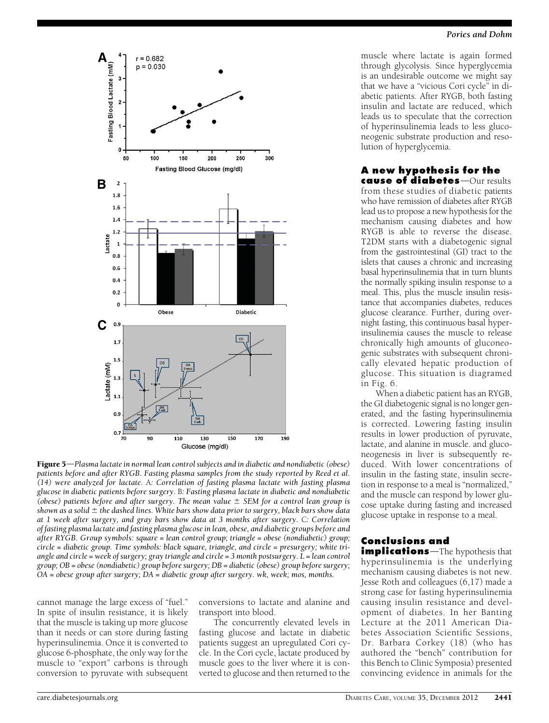

**Figure 5—Plasma lactate in normal lean control subjects and in diabetic and nondiabetic (obese)** patients before and after RYGB. Fasting plasma samples from the study reported by Reed et al. (14) were analyzed for lactate. A: Correlation of fasting plasma lactate with fasting plasma glucose in diabetic patients before surgery. B: Fasting plasma lactate in diabetic and nondiabetic (obese) patients before and after surgery. The mean value  $\pm$  SEM for a control lean group is shown as a solid  $\pm$  the dashed lines. White bars show data prior to surgery, black bars show data at 1 week after surgery, and gray bars show data at 3 months after surgery. C: Correlation of fasting plasma lactate and fasting plasma glucose in lean, obese, and diabetic groups before and after RYGB. Group symbols: square = lean control group; triangle = obese (nondiabetic) group; circle = diabetic group. Time symbols: black square, triangle, and circle = presurgery; white triangle and circle = week of surgery; gray triangle and circle = 3 month postsurgery. L = lean control group; OB = obese (nondiabetic) group before surgery; DB = diabetic (obese) group before surgery; OA = obese group after surgery; DA = diabetic group after surgery. wk, week; mos, months.

cannot manage the large excess of "fuel." In spite of insulin resistance, it is likely that the muscle is taking up more glucose than it needs or can store during fasting hyperinsulinemia. Once it is converted to glucose 6-phosphate, the only way for the muscle to "export" carbons is through conversion to pyruvate with subsequent

conversions to lactate and alanine and transport into blood.

The concurrently elevated levels in fasting glucose and lactate in diabetic patients suggest an upregulated Cori cycle. In the Cori cycle, lactate produced by muscle goes to the liver where it is converted to glucose and then returned to the

#### Pories and Dohm

muscle where lactate is again formed through glycolysis. Since hyperglycemia is an undesirable outcome we might say that we have a "vicious Cori cycle" in diabetic patients. After RYGB, both fasting insulin and lactate are reduced, which leads us to speculate that the correction of hyperinsulinemia leads to less gluconeogenic substrate production and resolution of hyperglycemia.

#### A new hypothesis for the cause of diabetes-Our results

from these studies of diabetic patients who have remission of diabetes after RYGB lead us to propose a new hypothesis for the mechanism causing diabetes and how RYGB is able to reverse the disease. T2DM starts with a diabetogenic signal from the gastrointestinal (GI) tract to the islets that causes a chronic and increasing basal hyperinsulinemia that in turn blunts the normally spiking insulin response to a meal. This, plus the muscle insulin resistance that accompanies diabetes, reduces glucose clearance. Further, during overnight fasting, this continuous basal hyperinsulinemia causes the muscle to release chronically high amounts of gluconeogenic substrates with subsequent chronically elevated hepatic production of glucose. This situation is diagramed in Fig. 6.

When a diabetic patient has an RYGB, the GI diabetogenic signal is no longer generated, and the fasting hyperinsulinemia is corrected. Lowering fasting insulin results in lower production of pyruvate, lactate, and alanine in muscle. and gluconeogenesis in liver is subsequently reduced. With lower concentrations of insulin in the fasting state, insulin secretion in response to a meal is "normalized," and the muscle can respond by lower glucose uptake during fasting and increased glucose uptake in response to a meal.

# Conclusions and

**implications**—The hypothesis that hyperinsulinemia is the underlying mechanism causing diabetes is not new. Jesse Roth and colleagues (6,17) made a strong case for fasting hyperinsulinemia causing insulin resistance and development of diabetes. In her Banting Lecture at the 2011 American Diabetes Association Scientific Sessions, Dr. Barbara Corkey (18) (who has authored the "bench" contribution for this Bench to Clinic Symposia) presented convincing evidence in animals for the